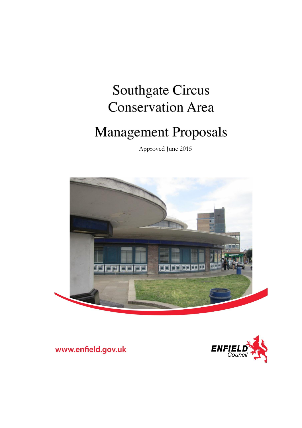# **Southgate Circus Conservation Area**

# **Management Proposals**

Approved June 2015





www.enfield.gov.uk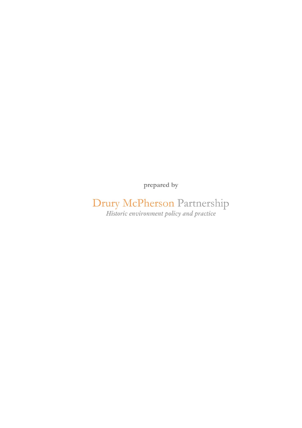prepared by

Drury McPherson Partnership<br>Historic environment policy and practice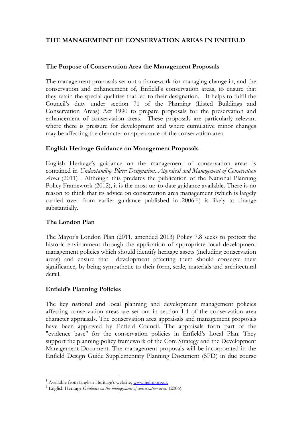# **THE MANAGEMENT OF CONSERVATION AREAS IN ENFIELD**

#### **The Purpose of Conservation Area the Management Proposals**

The management proposals set out a framework for managing change in, and the conservation and enhancement of, Enfield's conservation areas, to ensure that they retain the special qualities that led to their designation. It helps to fulfil the Council's duty under section 71 of the Planning (Listed Buildings and Conservation Areas) Act 1990 to prepare proposals for the preservation and enhancement of conservation areas. These proposals are particularly relevant where there is pressure for development and where cumulative minor changes may be affecting the character or appearance of the conservation area.

#### **English Heritage Guidance on Management Proposals**

English Heritage's guidance on the management of conservation areas is contained in *Understanding Place: Designation, Appraisal and Management of Conservation*  Areas (2011)<sup>1</sup>. Although this predates the publication of the National Planning Policy Framework (2012), it is the most up-to-date guidance available. There is no reason to think that its advice on conservation area management (which is largely carried over from earlier guidance published in 2006 <sup>2</sup> ) is likely to change substantially.

#### **The London Plan**

The Mayor's London Plan (2011, amended 2013) Policy 7.8 seeks to protect the historic environment through the application of appropriate local development management policies which should identify heritage assets (including conservation areas) and ensure that development affecting them should conserve their significance, by being sympathetic to their form, scale, materials and architectural detail.

# **Enfield's Planning Policies**

The key national and local planning and development management policies affecting conservation areas are set out in section 1.4 of the conservation area character appraisals. The conservation area appraisals and management proposals have been approved by Enfield Council. The appraisals form part of the "evidence base" for the conservation policies in Enfield's Local Plan. They support the planning policy framework of the Core Strategy and the Development Management Document. The management proposals will be incorporated in the Enfield Design Guide Supplementary Planning Document (SPD) in due course

<sup>&</sup>lt;sup>1</sup> Available from English Heritage's website, www.helm.org.uk

<sup>2</sup> English Heritage *Guidance on the management of conservation areas* (2006).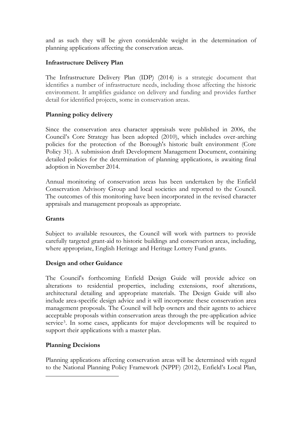and as such they will be given considerable weight in the determination of planning applications affecting the conservation areas.

#### **Infrastructure Delivery Plan**

The Infrastructure Delivery Plan (IDP) (2014) is a strategic document that identifies a number of infrastructure needs, including those affecting the historic environment. It amplifies guidance on delivery and funding and provides further detail for identified projects, some in conservation areas.

#### **Planning policy delivery**

Since the conservation area character appraisals were published in 2006, the Council's Core Strategy has been adopted (2010), which includes over-arching policies for the protection of the Borough's historic built environment (Core Policy 31). A submission draft Development Management Document, containing detailed policies for the determination of planning applications, is awaiting final adoption in November 2014.

Annual monitoring of conservation areas has been undertaken by the Enfield Conservation Advisory Group and local societies and reported to the Council. The outcomes of this monitoring have been incorporated in the revised character appraisals and management proposals as appropriate.

# **Grants**

Subject to available resources, the Council will work with partners to provide carefully targeted grant-aid to historic buildings and conservation areas, including, where appropriate, English Heritage and Heritage Lottery Fund grants.

#### **Design and other Guidance**

The Council's forthcoming Enfield Design Guide will provide advice on alterations to residential properties, including extensions, roof alterations, architectural detailing and appropriate materials. The Design Guide will also include area-specific design advice and it will incorporate these conservation area management proposals. The Council will help owners and their agents to achieve acceptable proposals within conservation areas through the pre-application advice service<sup>3</sup>. In some cases, applicants for major developments will be required to support their applications with a master plan.

# **Planning Decisions**

Planning applications affecting conservation areas will be determined with regard to the National Planning Policy Framework (NPPF) (2012), Enfield's Local Plan,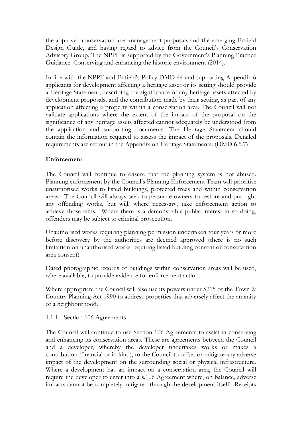the approved conservation area management proposals and the emerging Enfield Design Guide, and having regard to advice from the Council's Conservation Advisory Group. The NPPF is supported by the Government's Planning Practice Guidance: Conserving and enhancing the historic environment (2014).

In line with the NPPF and Enfield's Policy DMD 44 and supporting Appendix 6 applicants for development affecting a heritage asset or its setting should provide a Heritage Statement, describing the significance of any heritage assets affected by development proposals, and the contribution made by their setting, as part of any application affecting a property within a conservation area. The Council will not validate applications where the extent of the impact of the proposal on the significance of any heritage assets affected cannot adequately be understood from the application and supporting documents. The Heritage Statement should contain the information required to assess the impact of the proposals. Detailed requirements are set out in the Appendix on Heritage Statements. (DMD 6.5.7)

# **Enforcement**

The Council will continue to ensure that the planning system is not abused. Planning enforcement by the Council's Planning Enforcement Team will prioritise unauthorised works to listed buildings, protected trees and within conservation areas. The Council will always seek to persuade owners to restore and put right any offending works, but will, where necessary, take enforcement action to achieve those aims. Where there is a demonstrable public interest in so doing, offenders may be subject to criminal prosecution.

Unauthorised works requiring planning permission undertaken four years or more before discovery by the authorities are deemed approved (there is no such limitation on unauthorised works requiring listed building consent or conservation area consent).

Dated photographic records of buildings within conservation areas will be used, where available, to provide evidence for enforcement action.

Where appropriate the Council will also use its powers under S215 of the Town & Country Planning Act 1990 to address properties that adversely affect the amenity of a neighbourhood.

#### 1.1.1 Section 106 Agreements

The Council will continue to use Section 106 Agreements to assist in conserving and enhancing its conservation areas. These are agreements between the Council and a developer, whereby the developer undertakes works or makes a contribution (financial or in kind), to the Council to offset or mitigate any adverse impact of the development on the surrounding social or physical infrastructure. Where a development has an impact on a conservation area, the Council will require the developer to enter into a s.106 Agreement where, on balance, adverse impacts cannot be completely mitigated through the development itself. Receipts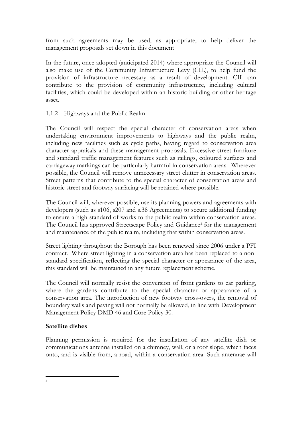from such agreements may be used, as appropriate, to help deliver the management proposals set down in this document

In the future, once adopted (anticipated 2014) where appropriate the Council will also make use of the Community Infrastructure Levy (CIL), to help fund the provision of infrastructure necessary as a result of development. CIL can contribute to the provision of community infrastructure, including cultural facilities, which could be developed within an historic building or other heritage asset.

1.1.2 Highways and the Public Realm

The Council will respect the special character of conservation areas when undertaking environment improvements to highways and the public realm, including new facilities such as cycle paths, having regard to conservation area character appraisals and these management proposals. Excessive street furniture and standard traffic management features such as railings, coloured surfaces and carriageway markings can be particularly harmful in conservation areas. Wherever possible, the Council will remove unnecessary street clutter in conservation areas. Street patterns that contribute to the special character of conservation areas and historic street and footway surfacing will be retained where possible.

The Council will, wherever possible, use its planning powers and agreements with developers (such as s106, s207 and s.38 Agreements) to secure additional funding to ensure a high standard of works to the public realm within conservation areas. The Council has approved Streetscape Policy and Guidance<sup>4</sup> for the management and maintenance of the public realm, including that within conservation areas.

Street lighting throughout the Borough has been renewed since 2006 under a PFI contract. Where street lighting in a conservation area has been replaced to a nonstandard specification, reflecting the special character or appearance of the area, this standard will be maintained in any future replacement scheme.

The Council will normally resist the conversion of front gardens to car parking, where the gardens contribute to the special character or appearance of a conservation area. The introduction of new footway cross-overs, the removal of boundary walls and paving will not normally be allowed, in line with Development Management Policy DMD 46 and Core Policy 30.

# **Satellite dishes**

Planning permission is required for the installation of any satellite dish or communications antenna installed on a chimney, wall, or a roof slope, which faces onto, and is visible from, a road, within a conservation area. Such antennae will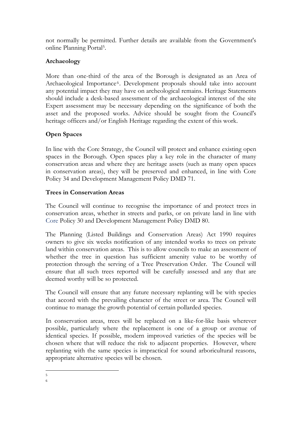not normally be permitted. Further details are available from the Government's online Planning Portal<sup>5</sup> .

# **Archaeology**

More than one-third of the area of the Borough is designated as an Area of Archaeological Importance<sup>6</sup>. Development proposals should take into account any potential impact they may have on archeological remains. Heritage Statements should include a desk-based assessment of the archaeological interest of the site Expert assessment may be necessary depending on the significance of both the asset and the proposed works. Advice should be sought from the Council's heritage officers and/or English Heritage regarding the extent of this work.

# **Open Spaces**

In line with the Core Strategy, the Council will protect and enhance existing open spaces in the Borough. Open spaces play a key role in the character of many conservation areas and where they are heritage assets (such as many open spaces in conservation areas), they will be preserved and enhanced, in line with Core Policy 34 and Development Management Policy DMD 71.

# **Trees in Conservation Areas**

The Council will continue to recognise the importance of and protect trees in conservation areas, whether in streets and parks, or on private land in line with Core Policy 30 and Development Management Policy DMD 80.

The Planning (Listed Buildings and Conservation Areas) Act 1990 requires owners to give six weeks notification of any intended works to trees on private land within conservation areas. This is to allow councils to make an assessment of whether the tree in question has sufficient amenity value to be worthy of protection through the serving of a Tree Preservation Order. The Council will ensure that all such trees reported will be carefully assessed and any that are deemed worthy will be so protected.

The Council will ensure that any future necessary replanting will be with species that accord with the prevailing character of the street or area. The Council will continue to manage the growth potential of certain pollarded species.

In conservation areas, trees will be replaced on a like-for-like basis wherever possible, particularly where the replacement is one of a group or avenue of identical species. If possible, modern improved varieties of the species will be chosen where that will reduce the risk to adjacent properties. However, where replanting with the same species is impractical for sound arboricultural reasons, appropriate alternative species will be chosen.

<sup>5</sup> 6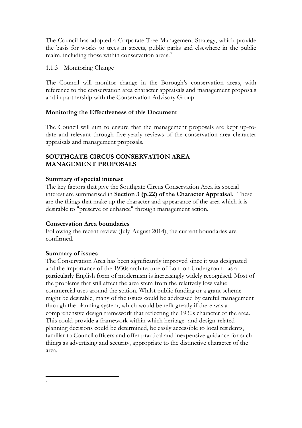The Council has adopted a Corporate Tree Management Strategy, which provide the basis for works to trees in streets, public parks and elsewhere in the public realm, including those within conservation areas.<sup>7</sup>

1.1.3 Monitoring Change

The Council will monitor change in the Borough's conservation areas, with reference to the conservation area character appraisals and management proposals and in partnership with the Conservation Advisory Group

# **Monitoring the Effectiveness of this Document**

The Council will aim to ensure that the management proposals are kept up-todate and relevant through five-yearly reviews of the conservation area character appraisals and management proposals.

#### **SOUTHGATE CIRCUS CONSERVATION AREA MANAGEMENT PROPOSALS**

#### **Summary of special interest**

The key factors that give the Southgate Circus Conservation Area its special interest are summarised in **Section 3 (p.22) of the Character Appraisal.** These are the things that make up the character and appearance of the area which it is desirable to "preserve or enhance" through management action.

# **Conservation Area boundaries**

Following the recent review (July-August 2014), the current boundaries are confirmed.

#### **Summary of issues**

The Conservation Area has been significantly improved since it was designated and the importance of the 1930s architecture of London Underground as a particularly English form of modernism is increasingly widely recognised. Most of the problems that still affect the area stem from the relatively low value commercial uses around the station. Whilst public funding or a grant scheme might be desirable, many of the issues could be addressed by careful management through the planning system, which would benefit greatly if there was a comprehensive design framework that reflecting the 1930s character of the area. This could provide a framework within which heritage- and design-related planning decisions could be determined, be easily accessible to local residents, familiar to Council officers and offer practical and inexpensive guidance for such things as advertising and security, appropriate to the distinctive character of the area.

<sup>7</sup>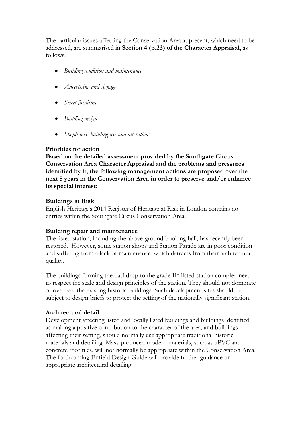The particular issues affecting the Conservation Area at present, which need to be addressed, are summarised in **Section 4 (p.23) of the Character Appraisal**, as follows:

- *Building condition and maintenance*
- *Advertising and signage*
- *Street furniture*
- *Building design*
- *Shopfronts*, *building use and alteration:*

#### **Priorities for action**

**Based on the detailed assessment provided by the Southgate Circus Conservation Area Character Appraisal and the problems and pressures identified by it, the following management actions are proposed over the next 5 years in the Conservation Area in order to preserve and/or enhance its special interest:**

#### **Buildings at Risk**

English Heritage's 2014 Register of Heritage at Risk in London contains no entries within the Southgate Circus Conservation Area.

#### **Building repair and maintenance**

The listed station, including the above-ground booking hall, has recently been restored. However, some station shops and Station Parade are in poor condition and suffering from a lack of maintenance, which detracts from their architectural quality.

The buildings forming the backdrop to the grade II\* listed station complex need to respect the scale and design principles of the station. They should not dominate or overbear the existing historic buildings. Such development sites should be subject to design briefs to protect the setting of the nationally significant station.

#### **Architectural detail**

Development affecting listed and locally listed buildings and buildings identified as making a positive contribution to the character of the area, and buildings affecting their setting, should normally use appropriate traditional historic materials and detailing. Mass-produced modern materials, such as uPVC and concrete roof tiles, will not normally be appropriate within the Conservation Area. The forthcoming Enfield Design Guide will provide further guidance on appropriate architectural detailing.